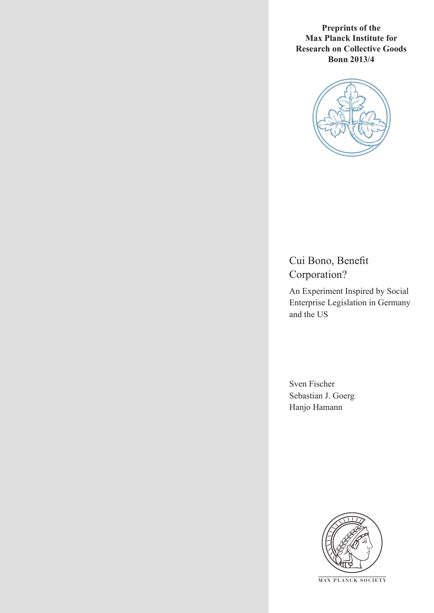**Preprints of the Max Planck Institute for Research on Collective Goods Bonn 2013/4**



Cui Bono, Benefit Corporation?

An Experiment Inspired by Social Enterprise Legislation in Germany and the US

Sven Fischer Sebastian J. Goerg Hanjo Hamann



**M AX PLANCK SOCIETY**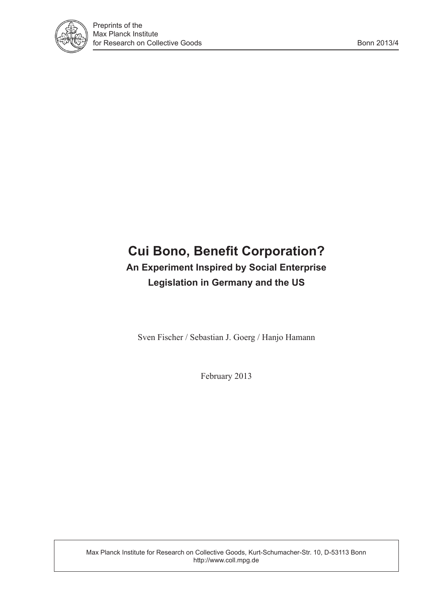

# **Cui Bono, Benefit Corporation? An Experiment Inspired by Social Enterprise Legislation in Germany and the US**

Sven Fischer / Sebastian J. Goerg / Hanjo Hamann

February 2013

Max Planck Institute for Research on Collective Goods, Kurt-Schumacher-Str. 10, D-53113 Bonn http://www.coll.mpg.de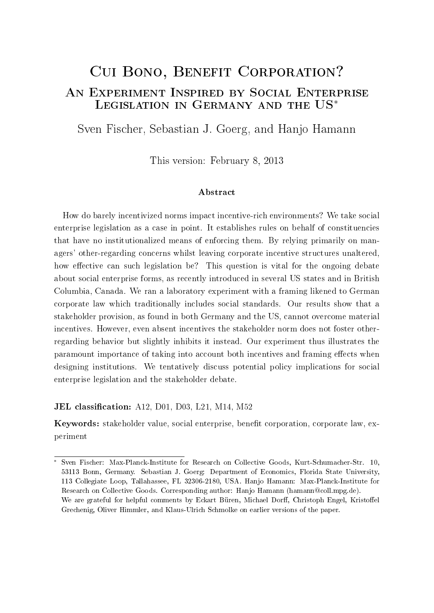# Cui Bono, Benefit Corporation? An Experiment Inspired by Social Enterprise Legislation in Germany and the US<sup>∗</sup>

Sven Fischer, Sebastian J. Goerg, and Hanjo Hamann

This version: February 8, 2013

#### Abstract

How do barely incentivized norms impact incentive-rich environments? We take social enterprise legislation as a case in point. It establishes rules on behalf of constituencies that have no institutionalized means of enforcing them. By relying primarily on managers' other-regarding concerns whilst leaving corporate incentive structures unaltered, how effective can such legislation be? This question is vital for the ongoing debate about social enterprise forms, as recently introduced in several US states and in British Columbia, Canada. We ran a laboratory experiment with a framing likened to German corporate law which traditionally includes social standards. Our results show that a stakeholder provision, as found in both Germany and the US, cannot overcome material incentives. However, even absent incentives the stakeholder norm does not foster otherregarding behavior but slightly inhibits it instead. Our experiment thus illustrates the paramount importance of taking into account both incentives and framing effects when designing institutions. We tentatively discuss potential policy implications for social enterprise legislation and the stakeholder debate.

**JEL classification:** A12, D01, D03, L21, M14, M52

Keywords: stakeholder value, social enterprise, benefit corporation, corporate law, experiment

<sup>∗</sup> Sven Fischer: Max-Planck-Institute for Research on Collective Goods, Kurt-Schumacher-Str. 10, 53113 Bonn, Germany. Sebastian J. Goerg: Department of Economics, Florida State University, 113 Collegiate Loop, Tallahassee, FL 32306-2180, USA. Hanjo Hamann: Max-Planck-Institute for Research on Collective Goods. Corresponding author: Hanjo Hamann (hamann@coll.mpg.de). We are grateful for helpful comments by Eckart Büren, Michael Dorff, Christoph Engel, Kristoffel Grechenig, Oliver Himmler, and Klaus-Ulrich Schmolke on earlier versions of the paper.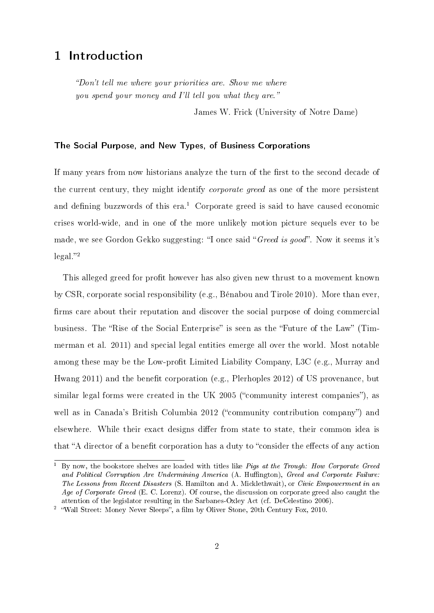## 1 Introduction

Don't tell me where your priorities are. Show me where you spend your money and I'll tell you what they are."

James W. Frick (University of Notre Dame)

#### The Social Purpose, and New Types, of Business Corporations

If many years from now historians analyze the turn of the first to the second decade of the current century, they might identify corporate greed as one of the more persistent and defining buzzwords of this  $era<sup>1</sup>$  Corporate greed is said to have caused economic crises world-wide, and in one of the more unlikely motion picture sequels ever to be made, we see Gordon Gekko suggesting: "I once said "Greed is good". Now it seems it's  $\text{legal."}^2$ 

This alleged greed for profit however has also given new thrust to a movement known by CSR, corporate social responsibility (e.g., Bénabou and Tirole 2010). More than ever, firms care about their reputation and discover the social purpose of doing commercial business. The "Rise of the Social Enterprise" is seen as the "Future of the Law" (Timmerman et al. 2011) and special legal entities emerge all over the world. Most notable among these may be the Low-profit Limited Liability Company, L3C (e.g., Murray and Hwang 2011) and the benefit corporation (e.g., Plerhoples 2012) of US provenance, but similar legal forms were created in the UK 2005 ("community interest companies"), as well as in Canada's British Columbia 2012 ("community contribution company") and elsewhere. While their exact designs differ from state to state, their common idea is that "A director of a benefit corporation has a duty to "consider the effects of any action

 $\overline{1}$  By now, the bookstore shelves are loaded with titles like *Pigs at the Trough: How Corporate Greed* and Political Corruption Are Undermining America (A. Huffington), Greed and Corporate Failure: The Lessons from Recent Disasters (S. Hamilton and A. Micklethwait), or Civic Empowerment in an Age of Corporate Greed (E. C. Lorenz). Of course, the discussion on corporate greed also caught the attention of the legislator resulting in the Sarbanes-Oxley Act (cf. DeCelestino 2006).

<sup>&</sup>lt;sup>2</sup> "Wall Street: Money Never Sleeps", a film by Oliver Stone, 20th Century Fox, 2010.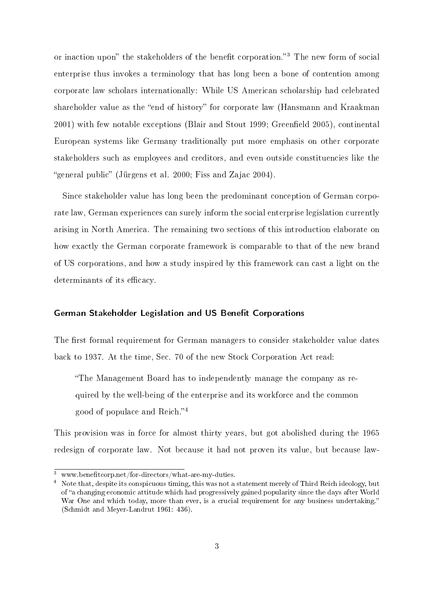or inaction upon" the stakeholders of the benefit corporation."<sup>3</sup> The new form of social enterprise thus invokes a terminology that has long been a bone of contention among corporate law scholars internationally: While US American scholarship had celebrated shareholder value as the "end of history" for corporate law (Hansmann and Kraakman 2001) with few notable exceptions (Blair and Stout 1999; Greenfield 2005), continental European systems like Germany traditionally put more emphasis on other corporate stakeholders such as employees and creditors, and even outside constituencies like the "general public" (Jürgens et al. 2000; Fiss and Zajac 2004).

Since stakeholder value has long been the predominant conception of German corporate law, German experiences can surely inform the social enterprise legislation currently arising in North America. The remaining two sections of this introduction elaborate on how exactly the German corporate framework is comparable to that of the new brand of US corporations, and how a study inspired by this framework can cast a light on the determinants of its efficacy.

#### German Stakeholder Legislation and US Benefit Corporations

The first formal requirement for German managers to consider stakeholder value dates back to 1937. At the time, Sec. 70 of the new Stock Corporation Act read:

The Management Board has to independently manage the company as required by the well-being of the enterprise and its workforce and the common good of populace and Reich."<sup>4</sup>

This provision was in force for almost thirty years, but got abolished during the 1965 redesign of corporate law. Not because it had not proven its value, but because law-

 $\overline{\text{www.benefitcorp.net/for-directors/what-are-mv-duties}}$ .

<sup>4</sup> Note that, despite its conspicuous timing, this was not a statement merely of Third Reich ideology, but of "a changing economic attitude which had progressively gained popularity since the days after World War One and which today, more than ever, is a crucial requirement for any business undertaking." (Schmidt and Meyer-Landrut 1961: 436).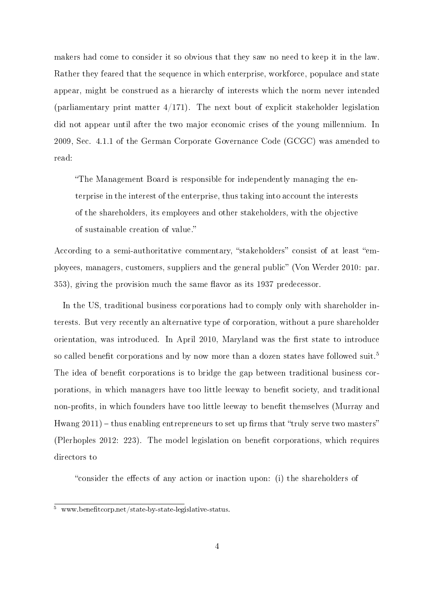makers had come to consider it so obvious that they saw no need to keep it in the law. Rather they feared that the sequence in which enterprise, workforce, populace and state appear, might be construed as a hierarchy of interests which the norm never intended (parliamentary print matter  $4/171$ ). The next bout of explicit stakeholder legislation did not appear until after the two major economic crises of the young millennium. In 2009, Sec. 4.1.1 of the German Corporate Governance Code (GCGC) was amended to read:

The Management Board is responsible for independently managing the enterprise in the interest of the enterprise, thus taking into account the interests of the shareholders, its employees and other stakeholders, with the objective of sustainable creation of value.

According to a semi-authoritative commentary, "stakeholders" consist of at least "employees, managers, customers, suppliers and the general public" (Von Werder 2010: par. 353), giving the provision much the same flavor as its 1937 predecessor.

In the US, traditional business corporations had to comply only with shareholder interests. But very recently an alternative type of corporation, without a pure shareholder orientation, was introduced. In April 2010, Maryland was the first state to introduce so called benefit corporations and by now more than a dozen states have followed suit.<sup>5</sup> The idea of benefit corporations is to bridge the gap between traditional business corporations, in which managers have too little leeway to benefit society, and traditional non-profits, in which founders have too little leeway to benefit themselves (Murray and Hwang  $2011$ ) – thus enabling entrepreneurs to set up firms that "truly serve two masters" (Plerhoples 2012: 223). The model legislation on benefit corporations, which requires directors to

"consider the effects of any action or inaction upon: (i) the shareholders of

 $\frac{5}{5}$  www.benefitcorp.net/state-by-state-legislative-status.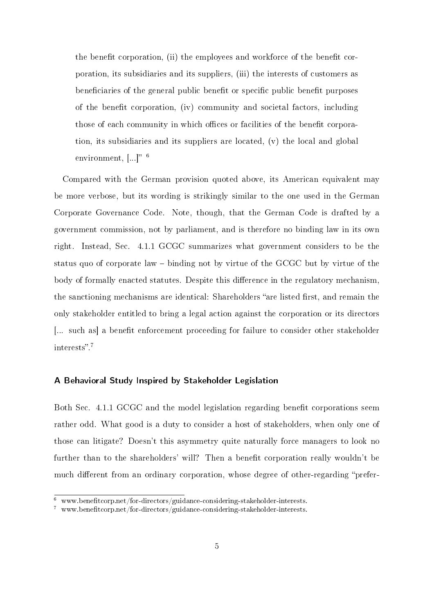the benefit corporation, (ii) the employees and workforce of the benefit corporation, its subsidiaries and its suppliers, (iii) the interests of customers as beneficiaries of the general public benefit or specific public benefit purposes of the benefit corporation, (iv) community and societal factors, including those of each community in which offices or facilities of the benefit corporation, its subsidiaries and its suppliers are located, (v) the local and global environment,  $[\ldots]$ <sup>"6</sup>

Compared with the German provision quoted above, its American equivalent may be more verbose, but its wording is strikingly similar to the one used in the German Corporate Governance Code. Note, though, that the German Code is drafted by a government commission, not by parliament, and is therefore no binding law in its own right. Instead, Sec. 4.1.1 GCGC summarizes what government considers to be the status quo of corporate law binding not by virtue of the GCGC but by virtue of the body of formally enacted statutes. Despite this difference in the regulatory mechanism, the sanctioning mechanisms are identical: Shareholders "are listed first, and remain the only stakeholder entitled to bring a legal action against the corporation or its directors [... such as] a benefit enforcement proceeding for failure to consider other stakeholder interests".<sup>7</sup>

#### A Behavioral Study Inspired by Stakeholder Legislation

Both Sec. 4.1.1 GCGC and the model legislation regarding benefit corporations seem rather odd. What good is a duty to consider a host of stakeholders, when only one of those can litigate? Doesn't this asymmetry quite naturally force managers to look no further than to the shareholders' will? Then a benefit corporation really wouldn't be much different from an ordinary corporation, whose degree of other-regarding "prefer-

 $6$  www.benefitcorp.net/for-directors/guidance-considering-stakeholder-interests.

 $7$  www.benefitcorp.net/for-directors/guidance-considering-stakeholder-interests.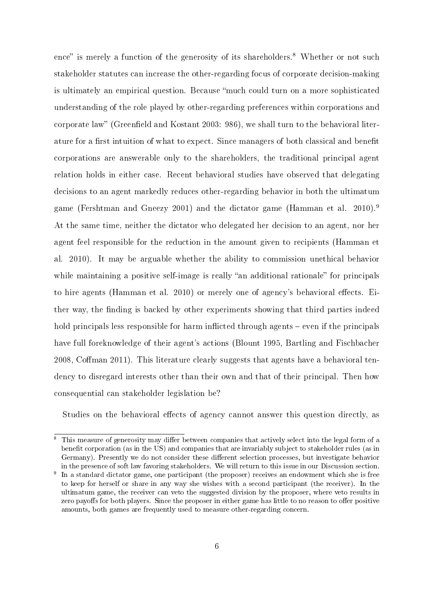ence" is merely a function of the generosity of its shareholders.<sup>8</sup> Whether or not such stakeholder statutes can increase the other-regarding focus of corporate decision-making is ultimately an empirical question. Because "much could turn on a more sophisticated understanding of the role played by other-regarding preferences within corporations and corporate law" (Greenfield and Kostant 2003: 986), we shall turn to the behavioral literature for a first intuition of what to expect. Since managers of both classical and benefit corporations are answerable only to the shareholders, the traditional principal agent relation holds in either case. Recent behavioral studies have observed that delegating decisions to an agent markedly reduces other-regarding behavior in both the ultimatum game (Fershtman and Gneezy 2001) and the dictator game (Hamman et al. 2010).<sup>9</sup> At the same time, neither the dictator who delegated her decision to an agent, nor her agent feel responsible for the reduction in the amount given to recipients (Hamman et al. 2010). It may be arguable whether the ability to commission unethical behavior while maintaining a positive self-image is really "an additional rationale" for principals to hire agents (Hamman et al. 2010) or merely one of agency's behavioral effects. Either way, the finding is backed by other experiments showing that third parties indeed hold principals less responsible for harm inflicted through agents  $-$  even if the principals have full foreknowledge of their agent's actions (Blount 1995, Bartling and Fischbacher 2008, Coffman 2011). This literature clearly suggests that agents have a behavioral tendency to disregard interests other than their own and that of their principal. Then how consequential can stakeholder legislation be?

Studies on the behavioral effects of agency cannot answer this question directly, as

This measure of generosity may differ between companies that actively select into the legal form of a benefit corporation (as in the US) and companies that are invariably subject to stakeholder rules (as in Germany). Presently we do not consider these different selection processes, but investigate behavior in the presence of soft law favoring stakeholders. We will return to this issue in our Discussion section.

<sup>9</sup> In a standard dictator game, one participant (the proposer) receives an endowment which she is free to keep for herself or share in any way she wishes with a second participant (the receiver). In the ultimatum game, the receiver can veto the suggested division by the proposer, where veto results in zero payoffs for both players. Since the proposer in either game has little to no reason to offer positive amounts, both games are frequently used to measure other-regarding concern.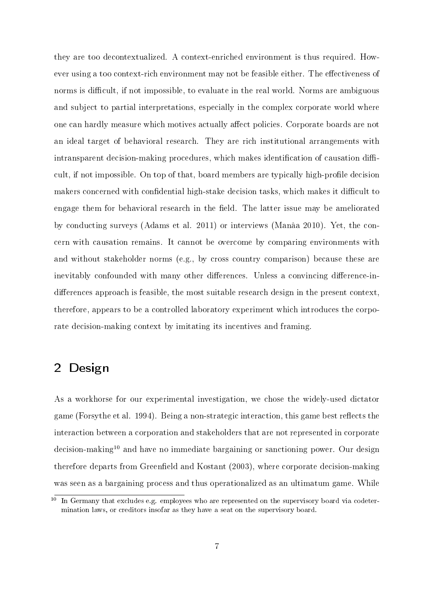they are too decontextualized. A context-enriched environment is thus required. However using a too context-rich environment may not be feasible either. The effectiveness of norms is difficult, if not impossible, to evaluate in the real world. Norms are ambiguous and subject to partial interpretations, especially in the complex corporate world where one can hardly measure which motives actually affect policies. Corporate boards are not an ideal target of behavioral research. They are rich institutional arrangements with  $intransparent$  decision-making procedures, which makes identification of causation difficult, if not impossible. On top of that, board members are typically high-profile decision makers concerned with confidential high-stake decision tasks, which makes it difficult to engage them for behavioral research in the field. The latter issue may be ameliorated by conducting surveys (Adams et al. 2011) or interviews (Manâa 2010). Yet, the concern with causation remains. It cannot be overcome by comparing environments with and without stakeholder norms (e.g., by cross country comparison) because these are inevitably confounded with many other differences. Unless a convincing difference-indifferences approach is feasible, the most suitable research design in the present context, therefore, appears to be a controlled laboratory experiment which introduces the corporate decision-making context by imitating its incentives and framing.

## 2 Design

As a workhorse for our experimental investigation, we chose the widely-used dictator game (Forsythe et al. 1994). Being a non-strategic interaction, this game best reflects the interaction between a corporation and stakeholders that are not represented in corporate decision-making<sup>10</sup> and have no immediate bargaining or sanctioning power. Our design therefore departs from Greenfield and Kostant  $(2003)$ , where corporate decision-making was seen as a bargaining process and thus operationalized as an ultimatum game. While

 $10$  In Germany that excludes e.g. employees who are represented on the supervisory board via codetermination laws, or creditors insofar as they have a seat on the supervisory board.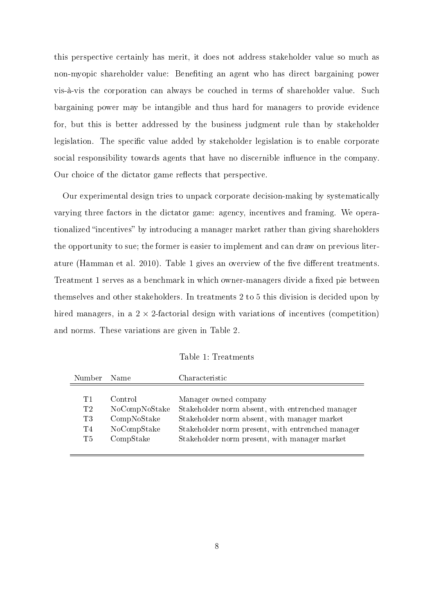this perspective certainly has merit, it does not address stakeholder value so much as non-myopic shareholder value: Benefiting an agent who has direct bargaining power vis-à-vis the corporation can always be couched in terms of shareholder value. Such bargaining power may be intangible and thus hard for managers to provide evidence for, but this is better addressed by the business judgment rule than by stakeholder legislation. The specific value added by stakeholder legislation is to enable corporate social responsibility towards agents that have no discernible influence in the company. Our choice of the dictator game reflects that perspective.

Our experimental design tries to unpack corporate decision-making by systematically varying three factors in the dictator game: agency, incentives and framing. We operationalized "incentives" by introducing a manager market rather than giving shareholders the opportunity to sue; the former is easier to implement and can draw on previous literature (Hamman et al. 2010). Table 1 gives an overview of the five different treatments. Treatment 1 serves as a benchmark in which owner-managers divide a fixed pie between themselves and other stakeholders. In treatments 2 to 5 this division is decided upon by hired managers, in a  $2 \times 2$ -factorial design with variations of incentives (competition) and norms. These variations are given in Table 2.

Table 1: Treatments

| Number                     | Name                                                                | Characteristic                                                                                                                                                                                                                  |
|----------------------------|---------------------------------------------------------------------|---------------------------------------------------------------------------------------------------------------------------------------------------------------------------------------------------------------------------------|
| T1<br>T2<br>T3<br>T4<br>T5 | Control<br>NoCompNoStake<br>CompNoStake<br>NoCompStake<br>CompState | Manager owned company<br>Stakeholder norm absent, with entrenched manager<br>Stakeholder norm absent, with manager market<br>Stakeholder norm present, with entrenched manager<br>Stakeholder norm present, with manager market |
|                            |                                                                     |                                                                                                                                                                                                                                 |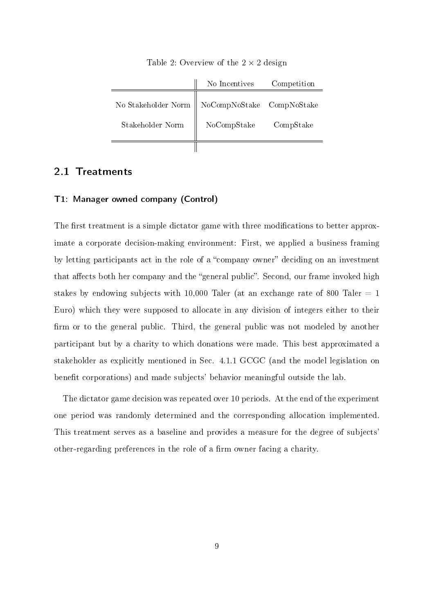|                                                   | No Incentives | Competition |
|---------------------------------------------------|---------------|-------------|
| No Stakeholder Norm    NoCompNoStake  CompNoStake |               |             |
| Stakeholder Norm                                  | NoCompStake   | CompStake   |
|                                                   |               |             |

Table 2: Overview of the  $2 \times 2$  design

### 2.1 Treatments

#### T1: Manager owned company (Control)

The first treatment is a simple dictator game with three modifications to better approximate a corporate decision-making environment: First, we applied a business framing by letting participants act in the role of a "company owner" deciding on an investment that affects both her company and the "general public". Second, our frame invoked high stakes by endowing subjects with 10,000 Taler (at an exchange rate of 800 Taler  $= 1$ Euro) which they were supposed to allocate in any division of integers either to their firm or to the general public. Third, the general public was not modeled by another participant but by a charity to which donations were made. This best approximated a stakeholder as explicitly mentioned in Sec. 4.1.1 GCGC (and the model legislation on benefit corporations) and made subjects' behavior meaningful outside the lab.

The dictator game decision was repeated over 10 periods. At the end of the experiment one period was randomly determined and the corresponding allocation implemented. This treatment serves as a baseline and provides a measure for the degree of subjects' other-regarding preferences in the role of a firm owner facing a charity.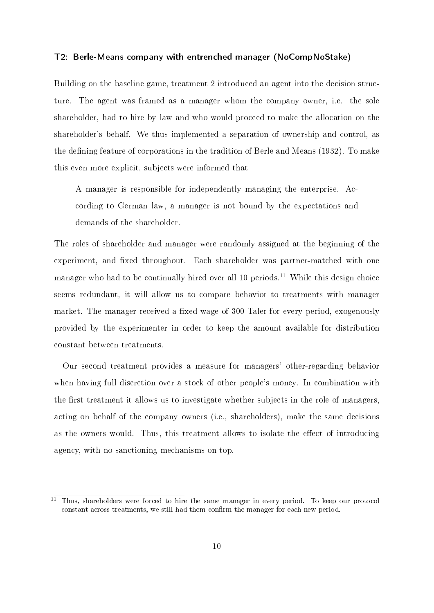#### T2: Berle-Means company with entrenched manager (NoCompNoStake)

Building on the baseline game, treatment 2 introduced an agent into the decision structure. The agent was framed as a manager whom the company owner, i.e. the sole shareholder, had to hire by law and who would proceed to make the allocation on the shareholder's behalf. We thus implemented a separation of ownership and control, as the defining feature of corporations in the tradition of Berle and Means (1932). To make this even more explicit, subjects were informed that

A manager is responsible for independently managing the enterprise. According to German law, a manager is not bound by the expectations and demands of the shareholder.

The roles of shareholder and manager were randomly assigned at the beginning of the experiment, and fixed throughout. Each shareholder was partner-matched with one manager who had to be continually hired over all 10 periods.<sup>11</sup> While this design choice seems redundant, it will allow us to compare behavior to treatments with manager market. The manager received a fixed wage of 300 Taler for every period, exogenously provided by the experimenter in order to keep the amount available for distribution constant between treatments.

Our second treatment provides a measure for managers' other-regarding behavior when having full discretion over a stock of other people's money. In combination with the first treatment it allows us to investigate whether subjects in the role of managers, acting on behalf of the company owners (i.e., shareholders), make the same decisions as the owners would. Thus, this treatment allows to isolate the effect of introducing agency, with no sanctioning mechanisms on top.

 $\overline{11}$  Thus, shareholders were forced to hire the same manager in every period. To keep our protocol constant across treatments, we still had them confirm the manager for each new period.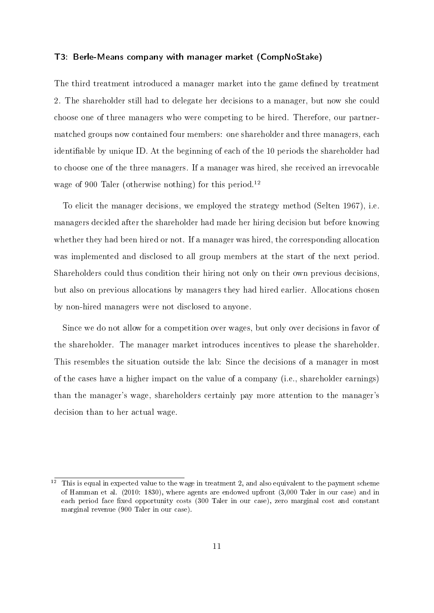#### T3: Berle-Means company with manager market (CompNoStake)

The third treatment introduced a manager market into the game defined by treatment 2. The shareholder still had to delegate her decisions to a manager, but now she could choose one of three managers who were competing to be hired. Therefore, our partnermatched groups now contained four members: one shareholder and three managers, each identiable by unique ID. At the beginning of each of the 10 periods the shareholder had to choose one of the three managers. If a manager was hired, she received an irrevocable wage of 900 Taler (otherwise nothing) for this period.<sup>12</sup>

To elicit the manager decisions, we employed the strategy method (Selten 1967), i.e. managers decided after the shareholder had made her hiring decision but before knowing whether they had been hired or not. If a manager was hired, the corresponding allocation was implemented and disclosed to all group members at the start of the next period. Shareholders could thus condition their hiring not only on their own previous decisions, but also on previous allocations by managers they had hired earlier. Allocations chosen by non-hired managers were not disclosed to anyone.

Since we do not allow for a competition over wages, but only over decisions in favor of the shareholder. The manager market introduces incentives to please the shareholder. This resembles the situation outside the lab: Since the decisions of a manager in most of the cases have a higher impact on the value of a company (i.e., shareholder earnings) than the manager's wage, shareholders certainly pay more attention to the manager's decision than to her actual wage.

 $12$  This is equal in expected value to the wage in treatment 2, and also equivalent to the payment scheme of Hamman et al. (2010: 1830), where agents are endowed upfront (3,000 Taler in our case) and in each period face fixed opportunity costs (300 Taler in our case), zero marginal cost and constant marginal revenue (900 Taler in our case).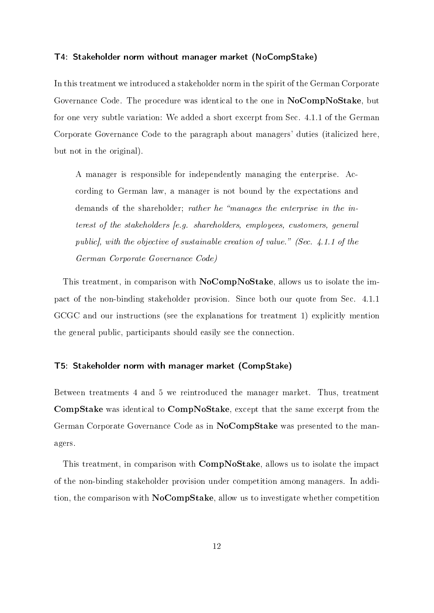#### T4: Stakeholder norm without manager market (NoCompStake)

In this treatment we introduced a stakeholder norm in the spirit of the German Corporate Governance Code. The procedure was identical to the one in NoCompNoStake, but for one very subtle variation: We added a short excerpt from Sec. 4.1.1 of the German Corporate Governance Code to the paragraph about managers' duties (italicized here, but not in the original).

A manager is responsible for independently managing the enterprise. According to German law, a manager is not bound by the expectations and demands of the shareholder; *rather he "manages the enterprise in the in*terest of the stakeholders [e.g. shareholders, employees, customers, general public], with the objective of sustainable creation of value." (Sec. 4.1.1 of the German Corporate Governance Code)

This treatment, in comparison with NoCompNoStake, allows us to isolate the impact of the non-binding stakeholder provision. Since both our quote from Sec. 4.1.1 GCGC and our instructions (see the explanations for treatment 1) explicitly mention the general public, participants should easily see the connection.

#### T5: Stakeholder norm with manager market (CompStake)

Between treatments 4 and 5 we reintroduced the manager market. Thus, treatment CompStake was identical to CompNoStake, except that the same excerpt from the German Corporate Governance Code as in NoCompStake was presented to the managers.

This treatment, in comparison with CompNoStake, allows us to isolate the impact of the non-binding stakeholder provision under competition among managers. In addition, the comparison with NoCompStake, allow us to investigate whether competition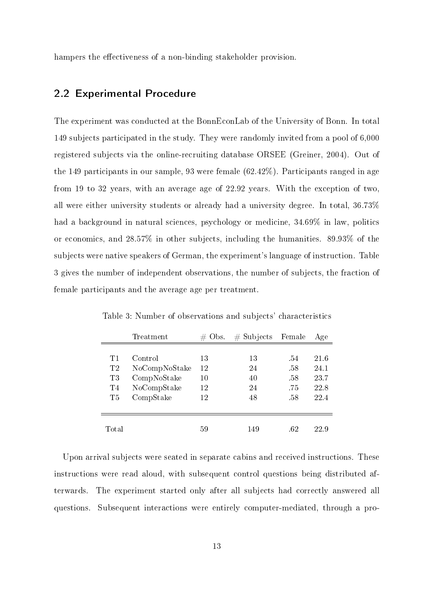hampers the effectiveness of a non-binding stakeholder provision.

### 2.2 Experimental Procedure

The experiment was conducted at the BonnEconLab of the University of Bonn. In total 149 subjects participated in the study. They were randomly invited from a pool of 6,000 registered subjects via the online-recruiting database ORSEE (Greiner, 2004). Out of the 149 participants in our sample, 93 were female (62.42%). Participants ranged in age from 19 to 32 years, with an average age of 22.92 years. With the exception of two, all were either university students or already had a university degree. In total, 36.73% had a background in natural sciences, psychology or medicine,  $34.69\%$  in law, politics or economics, and 28.57% in other subjects, including the humanities. 89.93% of the subjects were native speakers of German, the experiment's language of instruction. Table 3 gives the number of independent observations, the number of subjects, the fraction of female participants and the average age per treatment.

|                | Treatment     | Obs.<br># | $#$ Subjects | Female | Age  |
|----------------|---------------|-----------|--------------|--------|------|
|                |               |           |              |        |      |
| T1             | Control       | 13        | 13           | -54    | 21.6 |
| T2             | NoCompNoStake | 12        | 24           | .58    | 24.1 |
| T3             | CompNoStake   | 10        | 40           | .58    | 23.7 |
| T <sub>4</sub> | NoCompStake   | 12        | 24           | .75    | 22.8 |
| T5             | CompStake     | 12        | 48           | -58    | 22.4 |
|                |               |           |              |        |      |
|                |               |           |              |        |      |
| Total          |               | 59        | 149          | .62    | 22.9 |

Table 3: Number of observations and subjects' characteristics

Upon arrival subjects were seated in separate cabins and received instructions. These instructions were read aloud, with subsequent control questions being distributed afterwards. The experiment started only after all subjects had correctly answered all questions. Subsequent interactions were entirely computer-mediated, through a pro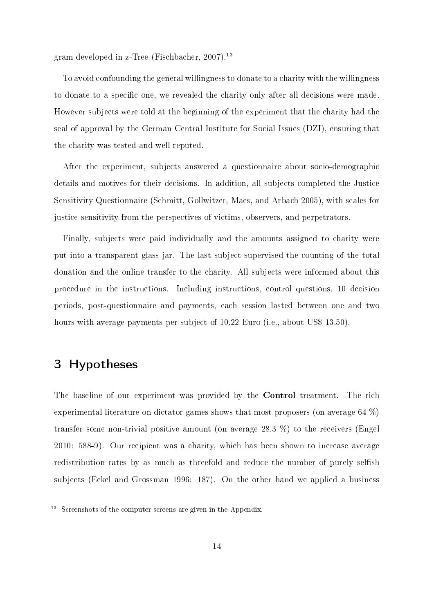gram developed in z-Tree (Fischbacher, 2007).<sup>13</sup>

To avoid confounding the general willingness to donate to a charity with the willingness to donate to a specific one, we revealed the charity only after all decisions were made. However subjects were told at the beginning of the experiment that the charity had the seal of approval by the German Central Institute for Social Issues (DZI), ensuring that the charity was tested and well-reputed.

After the experiment, subjects answered a questionnaire about socio-demographic details and motives for their decisions. In addition, all subjects completed the Justice Sensitivity Questionnaire (Schmitt, Gollwitzer, Maes, and Arbach 2005), with scales for justice sensitivity from the perspectives of victims, observers, and perpetrators.

Finally, subjects were paid individually and the amounts assigned to charity were put into a transparent glass jar. The last subject supervised the counting of the total donation and the online transfer to the charity. All subjects were informed about this procedure in the instructions. Including instructions, control questions, 10 decision periods, post-questionnaire and payments, each session lasted between one and two hours with average payments per subject of 10.22 Euro (i.e., about US\$ 13.50).

### 3 Hypotheses

The baseline of our experiment was provided by the Control treatment. The rich experimental literature on dictator games shows that most proposers (on average 64 %) transfer some non-trivial positive amount (on average 28.3 %) to the receivers (Engel 2010: 588-9). Our recipient was a charity, which has been shown to increase average redistribution rates by as much as threefold and reduce the number of purely selfish subjects (Eckel and Grossman 1996: 187). On the other hand we applied a business

<sup>&</sup>lt;sup>13</sup> Screenshots of the computer screens are given in the Appendix.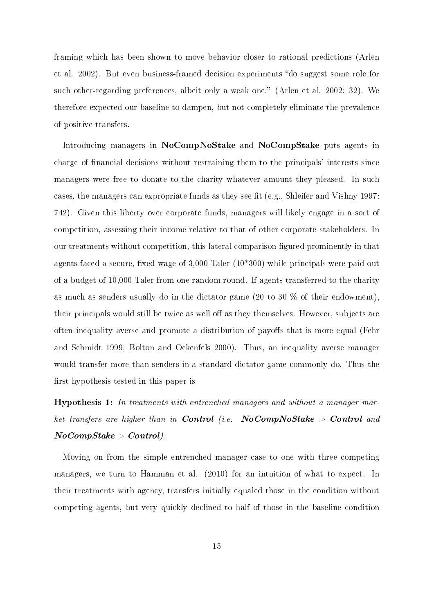framing which has been shown to move behavior closer to rational predictions (Arlen et al. 2002). But even business-framed decision experiments "do suggest some role for such other-regarding preferences, albeit only a weak one." (Arlen et al. 2002: 32). We therefore expected our baseline to dampen, but not completely eliminate the prevalence of positive transfers.

Introducing managers in NoCompNoStake and NoCompStake puts agents in charge of financial decisions without restraining them to the principals' interests since managers were free to donate to the charity whatever amount they pleased. In such cases, the managers can expropriate funds as they see fit (e.g., Shleifer and Vishny 1997: 742). Given this liberty over corporate funds, managers will likely engage in a sort of competition, assessing their income relative to that of other corporate stakeholders. In our treatments without competition, this lateral comparison gured prominently in that agents faced a secure, fixed wage of  $3,000$  Taler ( $10*300$ ) while principals were paid out of a budget of 10,000 Taler from one random round. If agents transferred to the charity as much as senders usually do in the dictator game (20 to 30 % of their endowment), their principals would still be twice as well off as they themselves. However, subjects are often inequality averse and promote a distribution of payoffs that is more equal (Fehr and Schmidt 1999; Bolton and Ockenfels 2000). Thus, an inequality averse manager would transfer more than senders in a standard dictator game commonly do. Thus the first hypothesis tested in this paper is

Hypothesis 1: In treatments with entrenched managers and without a manager market transfers are higher than in Control (i.e.  $NoCompNoStake > Control$  and  $No CompStake > Control$ ).

Moving on from the simple entrenched manager case to one with three competing managers, we turn to Hamman et al. (2010) for an intuition of what to expect. In their treatments with agency, transfers initially equaled those in the condition without competing agents, but very quickly declined to half of those in the baseline condition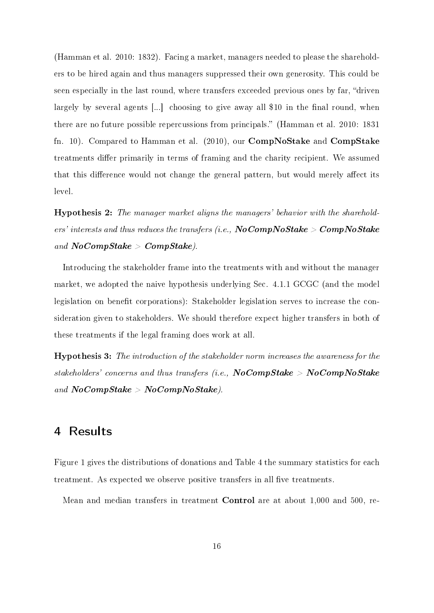(Hamman et al. 2010: 1832). Facing a market, managers needed to please the shareholders to be hired again and thus managers suppressed their own generosity. This could be seen especially in the last round, where transfers exceeded previous ones by far, "driven largely by several agents  $[...]$  choosing to give away all \$10 in the final round, when there are no future possible repercussions from principals." (Hamman et al. 2010: 1831) fn. 10). Compared to Hamman et al. (2010), our CompNoStake and CompStake treatments differ primarily in terms of framing and the charity recipient. We assumed that this difference would not change the general pattern, but would merely affect its level.

Hypothesis 2: The manager market aligns the managers' behavior with the shareholders' interests and thus reduces the transfers (i.e.,  $NoCompNoStake > CompNoStake$ and  $NoCompState > CompState$ .

Introducing the stakeholder frame into the treatments with and without the manager market, we adopted the naive hypothesis underlying Sec. 4.1.1 GCGC (and the model legislation on benefit corporations): Stakeholder legislation serves to increase the consideration given to stakeholders. We should therefore expect higher transfers in both of these treatments if the legal framing does work at all.

Hypothesis 3: The introduction of the stakeholder norm increases the awareness for the stakeholders' concerns and thus transfers (i.e.,  $NoCompState > NoCompNote$ and  $NoCompState > NoCompNoState$ ).

### 4 Results

Figure 1 gives the distributions of donations and Table 4 the summary statistics for each treatment. As expected we observe positive transfers in all five treatments.

Mean and median transfers in treatment Control are at about 1,000 and 500, re-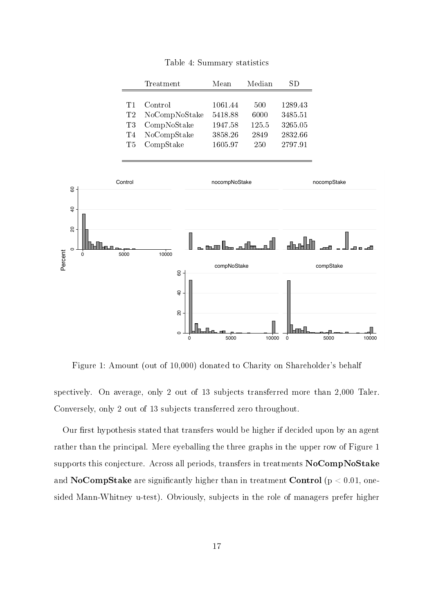|     | Treatment     | Mean    | Median | SD.     |
|-----|---------------|---------|--------|---------|
|     |               |         |        |         |
| T 1 | Control       | 1061.44 | 500    | 1289.43 |
| T2  | NoCompNoStake | 5418.88 | 6000   | 3485.51 |
| T3  | CompNoStake   | 1947.58 | 125.5  | 3265.05 |
| Т4  | NoCompStake   | 3858.26 | 2849   | 2832.66 |
| T5. | CompStake     | 1605.97 | 250    | 2797.91 |

Table 4: Summary statistics



Figure 1: Amount (out of 10,000) donated to Charity on Shareholder's behalf

spectively. On average, only 2 out of 13 subjects transferred more than 2,000 Taler. Conversely, only 2 out of 13 subjects transferred zero throughout.

Our first hypothesis stated that transfers would be higher if decided upon by an agent rather than the principal. Mere eyeballing the three graphs in the upper row of Figure 1 supports this conjecture. Across all periods, transfers in treatments NoCompNoStake and NoCompStake are significantly higher than in treatment Control ( $p < 0.01$ , onesided Mann-Whitney u-test). Obviously, subjects in the role of managers prefer higher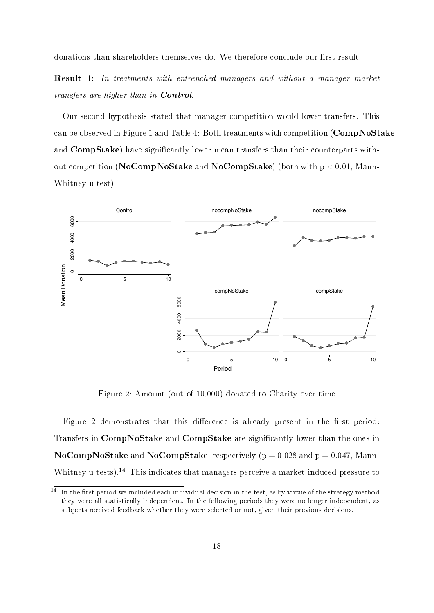donations than shareholders themselves do. We therefore conclude our first result.

Result 1: In treatments with entrenched managers and without a manager market transfers are higher than in Control.

Our second hypothesis stated that manager competition would lower transfers. This can be observed in Figure 1 and Table 4: Both treatments with competition (CompNoStake and CompStake) have significantly lower mean transfers than their counterparts without competition (NoCompNoStake and NoCompStake) (both with  $p < 0.01$ , Mann-Whitney u-test).



Figure 2: Amount (out of 10,000) donated to Charity over time

Figure 2 demonstrates that this difference is already present in the first period: Transfers in CompNoStake and CompStake are signicantly lower than the ones in NoCompNoStake and NoCompStake, respectively ( $p = 0.028$  and  $p = 0.047$ , Mann-Whitney u-tests).<sup>14</sup> This indicates that managers perceive a market-induced pressure to

 $\frac{14}{11}$  In the first period we included each individual decision in the test, as by virtue of the strategy method they were all statistically independent. In the following periods they were no longer independent, as subjects received feedback whether they were selected or not, given their previous decisions.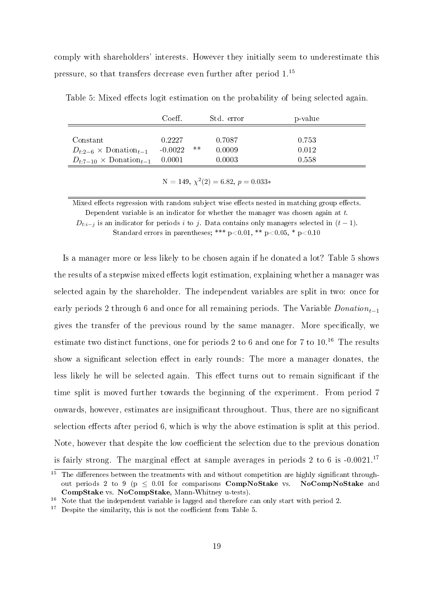comply with shareholders' interests. However they initially seem to underestimate this pressure, so that transfers decrease even further after period 1.<sup>15</sup>

|                                                      | Coeff.              |       | Std. error       | p-value        |
|------------------------------------------------------|---------------------|-------|------------------|----------------|
| Constant<br>$D_{t:2-6} \times \text{Donation}_{t-1}$ | 0.2227<br>$-0.0022$ | $***$ | 0.7087<br>0.0009 | 0.753<br>0.012 |
| $D_{t:7-10} \times \text{Donation}_{t-1}$            | 0.0001              |       | 0.0003           | 0.558          |

Table 5: Mixed effects logit estimation on the probability of being selected again.

 $N = 149, \, \chi^2(2) = 6.82, \, p = 0.033*$ 

Mixed effects regression with random subject wise effects nested in matching group effects. Dependent variable is an indicator for whether the manager was chosen again at  $t$ .

 $D_{t:i-j}$  is an indicator for periods i to j. Data contains only managers selected in  $(t-1)$ .

Standard errors in parentheses; \*\*\*  $p<0.01$ , \*\*  $p<0.05$ , \*  $p<0.10$ 

Is a manager more or less likely to be chosen again if he donated a lot? Table 5 shows the results of a stepwise mixed effects logit estimation, explaining whether a manager was selected again by the shareholder. The independent variables are split in two: once for early periods 2 through 6 and once for all remaining periods. The Variable  $Domain_{t-1}$ gives the transfer of the previous round by the same manager. More specifically, we estimate two distinct functions, one for periods 2 to 6 and one for 7 to  $10^{16}$  The results show a significant selection effect in early rounds: The more a manager donates, the less likely he will be selected again. This effect turns out to remain significant if the time split is moved further towards the beginning of the experiment. From period 7 onwards, however, estimates are insignificant throughout. Thus, there are no significant selection effects after period 6, which is why the above estimation is split at this period. Note, however that despite the low coefficient the selection due to the previous donation is fairly strong. The marginal effect at sample averages in periods 2 to 6 is  $-0.0021$ .<sup>17</sup>

<sup>&</sup>lt;sup>15</sup> The differences between the treatments with and without competition are highly significant throughout periods 2 to 9 ( $p < 0.01$  for comparisons **CompNoStake** vs. NoCompNoStake and CompStake vs. NoCompStake, Mann-Whitney u-tests).

<sup>&</sup>lt;sup>16</sup> Note that the independent variable is lagged and therefore can only start with period 2.

 $17$  Despite the similarity, this is not the coefficient from Table 5.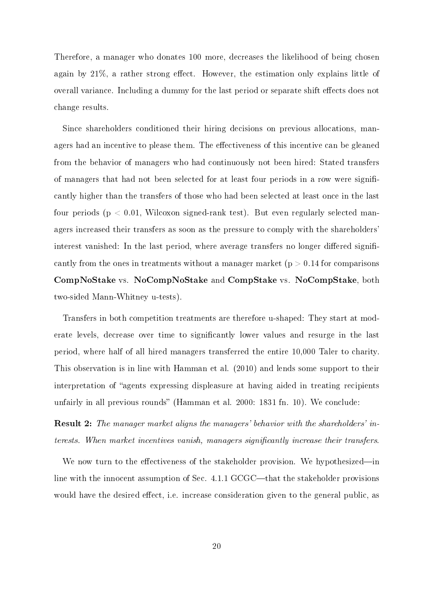Therefore, a manager who donates 100 more, decreases the likelihood of being chosen again by  $21\%$ , a rather strong effect. However, the estimation only explains little of overall variance. Including a dummy for the last period or separate shift effects does not change results.

Since shareholders conditioned their hiring decisions on previous allocations, managers had an incentive to please them. The effectiveness of this incentive can be gleaned from the behavior of managers who had continuously not been hired: Stated transfers of managers that had not been selected for at least four periods in a row were significantly higher than the transfers of those who had been selected at least once in the last four periods (p < 0.01, Wilcoxon signed-rank test). But even regularly selected managers increased their transfers as soon as the pressure to comply with the shareholders' interest vanished: In the last period, where average transfers no longer differed significantly from the ones in treatments without a manager market  $(p > 0.14$  for comparisons CompNoStake vs. NoCompNoStake and CompStake vs. NoCompStake, both two-sided Mann-Whitney u-tests).

Transfers in both competition treatments are therefore u-shaped: They start at moderate levels, decrease over time to signicantly lower values and resurge in the last period, where half of all hired managers transferred the entire 10,000 Taler to charity. This observation is in line with Hamman et al. (2010) and lends some support to their interpretation of "agents expressing displeasure at having aided in treating recipients unfairly in all previous rounds" (Hamman et al. 2000: 1831 fn. 10). We conclude:

Result 2: The manager market aligns the managers' behavior with the shareholders' interests. When market incentives vanish, managers significantly increase their transfers.

We now turn to the effectiveness of the stakeholder provision. We hypothesized—in line with the innocent assumption of Sec.  $4.1.1$  GCGC—that the stakeholder provisions would have the desired effect, i.e. increase consideration given to the general public, as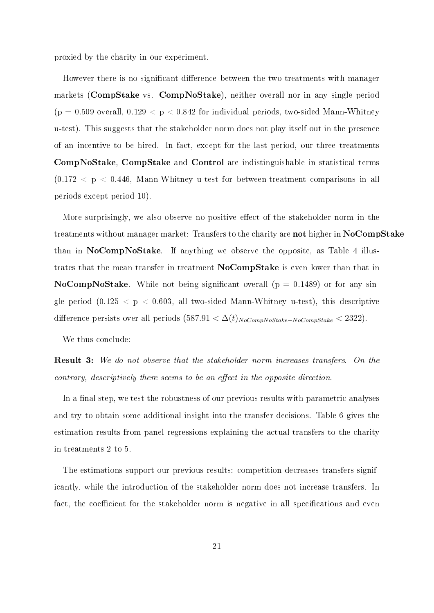proxied by the charity in our experiment.

However there is no significant difference between the two treatments with manager markets (CompStake vs. CompNoStake), neither overall nor in any single period  $(p = 0.509$  overall,  $0.129 < p < 0.842$  for individual periods, two-sided Mann-Whitney u-test). This suggests that the stakeholder norm does not play itself out in the presence of an incentive to be hired. In fact, except for the last period, our three treatments CompNoStake, CompStake and Control are indistinguishable in statistical terms  $(0.172 < p < 0.446$ , Mann-Whitney u-test for between-treatment comparisons in all periods except period 10).

More surprisingly, we also observe no positive effect of the stakeholder norm in the treatments without manager market: Transfers to the charity are not higher in NoCompStake than in NoCompNoStake. If anything we observe the opposite, as Table 4 illustrates that the mean transfer in treatment NoCompStake is even lower than that in NoCompNoStake. While not being significant overall ( $p = 0.1489$ ) or for any single period  $(0.125 < p < 0.603$ , all two-sided Mann-Whitney u-test), this descriptive difference persists over all periods  $(587.91 < \Delta(t)_{NoCompNoStake-NoCompState} < 2322)$ .

We thus conclude:

**Result 3:** We do not observe that the stakeholder norm increases transfers. On the  $contrary,$  descriptively there seems to be an effect in the opposite direction.

In a final step, we test the robustness of our previous results with parametric analyses and try to obtain some additional insight into the transfer decisions. Table 6 gives the estimation results from panel regressions explaining the actual transfers to the charity in treatments 2 to 5.

The estimations support our previous results: competition decreases transfers significantly, while the introduction of the stakeholder norm does not increase transfers. In fact, the coefficient for the stakeholder norm is negative in all specifications and even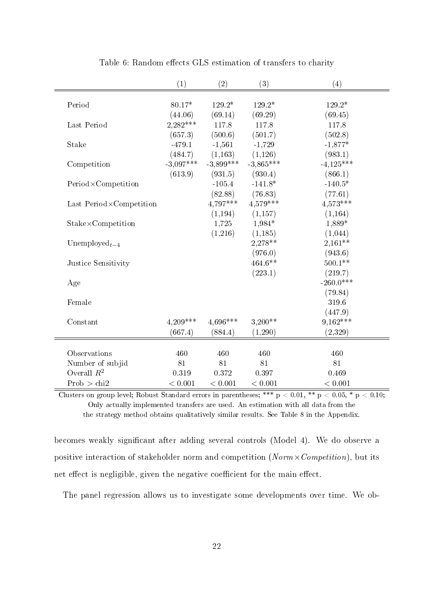|                            | (1)         | (2)         | (3)         | (4)         |
|----------------------------|-------------|-------------|-------------|-------------|
|                            |             |             |             |             |
| Period                     | 80.17*      | 129.2*      | 129.2*      | 129.2*      |
|                            | (44.06)     | (69.14)     | (69.29)     | (69.45)     |
| Last Period                | 2,282***    | 117.8       | 117.8       | 117.8       |
|                            | (657.3)     | (500.6)     | (501.7)     | (502.8)     |
| Stake                      | $-479.1$    | $-1,561$    | $-1,729$    | $-1,877*$   |
|                            | (484.7)     | (1,163)     | (1,126)     | (983.1)     |
| Competition                | $-3,097***$ | $-3,899***$ | $-3,865***$ | $-4,125***$ |
|                            | (613.9)     | (931.5)     | (930.4)     | (866.1)     |
| Period×Competition         |             | $-105.4$    | $-141.8*$   | $-140.5*$   |
|                            |             | (82.88)     | (76.83)     | (77.61)     |
| Last Period×Competition    |             | 4,797***    | $4.579***$  | $4.573***$  |
|                            |             | (1, 194)    | (1,157)     | (1, 164)    |
| $Stake \times Competition$ |             | 1,725       | 1,984*      | 1,889*      |
|                            |             | (1,216)     | (1,185)     | (1,044)     |
| Unemployed $_{t-4}$        |             |             | $2,278**$   | $2,161**$   |
|                            |             |             | (976.0)     | (943.6)     |
| Justice Sensitivity        |             |             | $464.6**$   | $500.1**$   |
|                            |             |             | (223.1)     | (219.7)     |
| Age                        |             |             |             | $-260.0***$ |
|                            |             |             |             | (79.84)     |
| Female                     |             |             |             | 319.6       |
|                            |             |             |             | (447.9)     |
| Constant                   | $4.209***$  | 4,696***    | $3,200**$   | $9,162***$  |
|                            | (667.4)     | (884.4)     | (1,290)     | (2,329)     |
|                            |             |             |             |             |
| Observations               | 460         | 460         | 460         | 460         |
| Number of subjid           | 81          | 81          | 81          | 81          |
| Overall $R^2$              | 0.319       | 0.372       | 0.397       | 0.469       |
| Prob > chi2                | < 0.001     | < 0.001     | < 0.001     | < 0.001     |

Table 6: Random effects GLS estimation of transfers to charity

Clusters on group level; Robust Standard errors in parentheses; \*\*\*  $p < 0.01$ , \*\*  $p < 0.05$ , \*  $p < 0.10$ ; Only actually implemented transfers are used. An estimation with all data from the the strategy method obtains qualitatively similar results. See Table 8 in the Appendix.

becomes weakly signicant after adding several controls (Model 4). We do observe a positive interaction of stakeholder norm and competition ( $Norm \times Competition$ ), but its net effect is negligible, given the negative coefficient for the main effect.

The panel regression allows us to investigate some developments over time. We ob-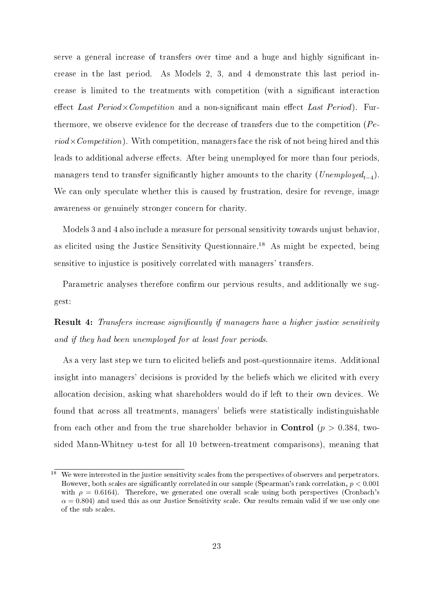serve a general increase of transfers over time and a huge and highly signicant increase in the last period. As Models 2, 3, and 4 demonstrate this last period increase is limited to the treatments with competition (with a signicant interaction effect Last  $Period \times Competition$  and a non-significant main effect Last Period). Furthermore, we observe evidence for the decrease of transfers due to the competition  $Pe$  $riod \times Competition$ ). With competition, managers face the risk of not being hired and this leads to additional adverse effects. After being unemployed for more than four periods, managers tend to transfer significantly higher amounts to the charity  $(\mathit{Unemployed}_{t-4}).$ We can only speculate whether this is caused by frustration, desire for revenge, image awareness or genuinely stronger concern for charity.

Models 3 and 4 also include a measure for personal sensitivity towards unjust behavior, as elicited using the Justice Sensitivity Questionnaire.<sup>18</sup> As might be expected, being sensitive to injustice is positively correlated with managers' transfers.

Parametric analyses therefore confirm our pervious results, and additionally we suggest:

**Result 4:** Transfers increase significantly if managers have a higher justice sensitivity and if they had been unemployed for at least four periods.

As a very last step we turn to elicited beliefs and post-questionnaire items. Additional insight into managers' decisions is provided by the beliefs which we elicited with every allocation decision, asking what shareholders would do if left to their own devices. We found that across all treatments, managers' beliefs were statistically indistinguishable from each other and from the true shareholder behavior in **Control** ( $p > 0.384$ , twosided Mann-Whitney u-test for all 10 between-treatment comparisons), meaning that

<sup>&</sup>lt;sup>18</sup> We were interested in the justice sensitivity scales from the perspectives of observers and perpetrators. However, both scales are significantly correlated in our sample (Spearman's rank correlation,  $p < 0.001$ ) with  $\rho = 0.6164$ ). Therefore, we generated one overall scale using both perspectives (Cronbach's  $\alpha = 0.804$ ) and used this as our Justice Sensitivity scale. Our results remain valid if we use only one of the sub scales.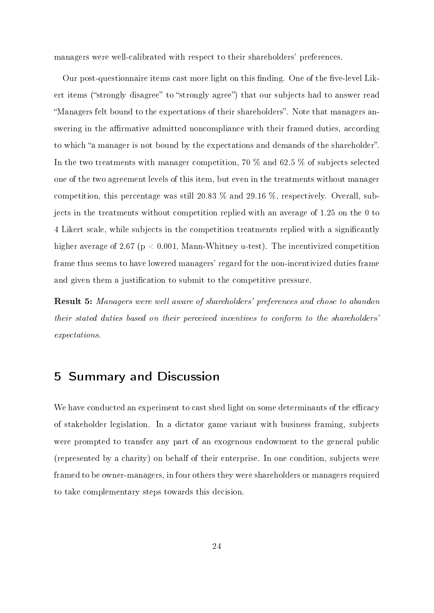managers were well-calibrated with respect to their shareholders' preferences.

Our post-questionnaire items cast more light on this finding. One of the five-level Likert items ("strongly disagree" to "strongly agree") that our subjects had to answer read "Managers felt bound to the expectations of their shareholders". Note that managers answering in the affirmative admitted noncompliance with their framed duties, according to which "a manager is not bound by the expectations and demands of the shareholder". In the two treatments with manager competition, 70 % and 62.5 % of subjects selected one of the two agreement levels of this item, but even in the treatments without manager competition, this percentage was still 20.83 % and 29.16 %, respectively. Overall, subjects in the treatments without competition replied with an average of 1.25 on the 0 to 4 Likert scale, while subjects in the competition treatments replied with a signicantly higher average of 2.67 (p < 0.001, Mann-Whitney u-test). The incentivized competition frame thus seems to have lowered managers' regard for the non-incentivized duties frame and given them a justification to submit to the competitive pressure.

Result 5: Managers were well aware of shareholders' preferences and chose to abandon their stated duties based on their perceived incentives to conform to the shareholders' expectations.

### 5 Summary and Discussion

We have conducted an experiment to cast shed light on some determinants of the efficacy of stakeholder legislation. In a dictator game variant with business framing, subjects were prompted to transfer any part of an exogenous endowment to the general public (represented by a charity) on behalf of their enterprise. In one condition, subjects were framed to be owner-managers, in four others they were shareholders or managers required to take complementary steps towards this decision.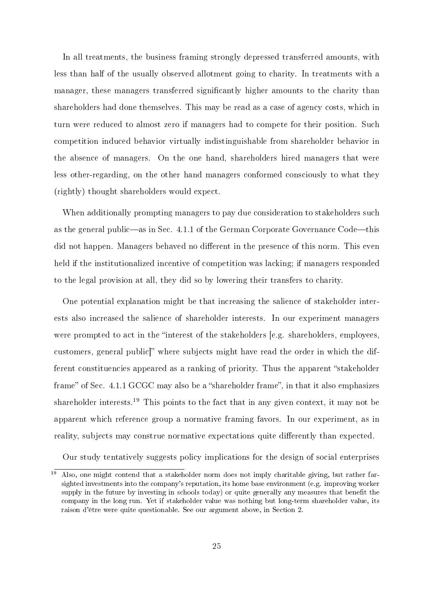In all treatments, the business framing strongly depressed transferred amounts, with less than half of the usually observed allotment going to charity. In treatments with a manager, these managers transferred signicantly higher amounts to the charity than shareholders had done themselves. This may be read as a case of agency costs, which in turn were reduced to almost zero if managers had to compete for their position. Such competition induced behavior virtually indistinguishable from shareholder behavior in the absence of managers. On the one hand, shareholders hired managers that were less other-regarding, on the other hand managers conformed consciously to what they (rightly) thought shareholders would expect.

When additionally prompting managers to pay due consideration to stakeholders such as the general public—as in Sec.  $4.1.1$  of the German Corporate Governance Code—this did not happen. Managers behaved no different in the presence of this norm. This even held if the institutionalized incentive of competition was lacking; if managers responded to the legal provision at all, they did so by lowering their transfers to charity.

One potential explanation might be that increasing the salience of stakeholder interests also increased the salience of shareholder interests. In our experiment managers were prompted to act in the "interest of the stakeholders  $[e.g.$  shareholders, employees, customers, general public<sup>"</sup> where subjects might have read the order in which the different constituencies appeared as a ranking of priority. Thus the apparent "stakeholder frame" of Sec.  $4.1.1$  GCGC may also be a "shareholder frame", in that it also emphasizes shareholder interests.<sup>19</sup> This points to the fact that in any given context, it may not be apparent which reference group a normative framing favors. In our experiment, as in reality, subjects may construe normative expectations quite differently than expected.

Our study tentatively suggests policy implications for the design of social enterprises

 $19$  Also, one might contend that a stakeholder norm does not imply charitable giving, but rather farsighted investments into the company's reputation, its home base environment (e.g. improving worker supply in the future by investing in schools today) or quite generally any measures that benefit the company in the long run. Yet if stakeholder value was nothing but long-term shareholder value, its raison d'être were quite questionable. See our argument above, in Section 2.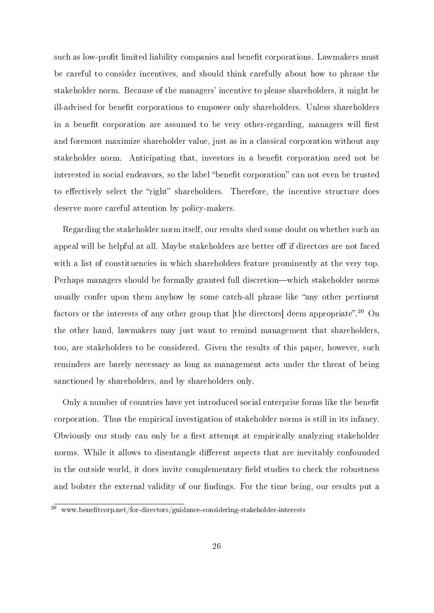such as low-profit limited liability companies and benefit corporations. Lawmakers must be careful to consider incentives, and should think carefully about how to phrase the stakeholder norm. Because of the managers' incentive to please shareholders, it might be ill-advised for benefit corporations to empower only shareholders. Unless shareholders in a benefit corporation are assumed to be very other-regarding, managers will first and foremost maximize shareholder value, just as in a classical corporation without any stakeholder norm. Anticipating that, investors in a benefit corporation need not be interested in social endeavors, so the label "benefit corporation" can not even be trusted to effectively select the "right" shareholders. Therefore, the incentive structure does deserve more careful attention by policy-makers.

Regarding the stakeholder norm itself, our results shed some doubt on whether such an appeal will be helpful at all. Maybe stakeholders are better off if directors are not faced with a list of constituencies in which shareholders feature prominently at the very top. Perhaps managers should be formally granted full discretion—which stakeholder norms usually confer upon them anyhow by some catch-all phrase like "any other pertinent factors or the interests of any other group that [the directors] deem appropriate".<sup>20</sup> On the other hand, lawmakers may just want to remind management that shareholders, too, are stakeholders to be considered. Given the results of this paper, however, such reminders are barely necessary as long as management acts under the threat of being sanctioned by shareholders, and by shareholders only.

Only a number of countries have yet introduced social enterprise forms like the benefit corporation. Thus the empirical investigation of stakeholder norms is still in its infancy. Obviously our study can only be a first attempt at empirically analyzing stakeholder norms. While it allows to disentangle different aspects that are inevitably confounded in the outside world, it does invite complementary field studies to check the robustness and bolster the external validity of our findings. For the time being, our results put a

 $20$  www.benefitcorp.net/for-directors/guidance-considering-stakeholder-interests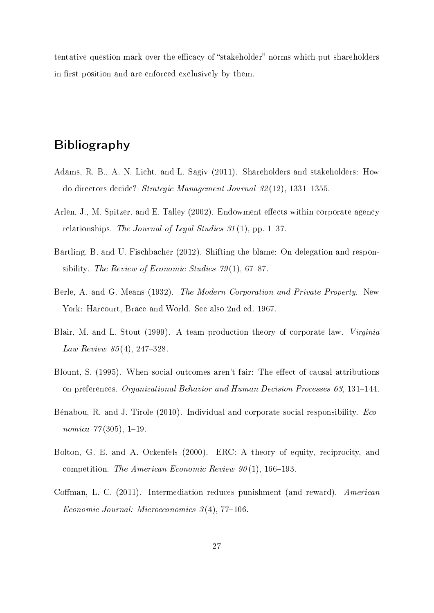tentative question mark over the efficacy of "stakeholder" norms which put shareholders in first position and are enforced exclusively by them.

## Bibliography

- Adams, R. B., A. N. Licht, and L. Sagiv (2011). Shareholders and stakeholders: How do directors decide? Strategic Management Journal  $32(12)$ , 1331-1355.
- Arlen, J., M. Spitzer, and E. Talley (2002). Endowment effects within corporate agency relationships. The Journal of Legal Studies  $31(1)$ , pp. 1-37.
- Bartling, B. and U. Fischbacher (2012). Shifting the blame: On delegation and responsibility. The Review of Economic Studies  $79(1)$ , 67-87.
- Berle, A. and G. Means (1932). The Modern Corporation and Private Property. New York: Harcourt, Brace and World. See also 2nd ed. 1967.
- Blair, M. and L. Stout (1999). A team production theory of corporate law. Virginia Law Review  $85(4)$ , 247-328.
- Blount, S. (1995). When social outcomes aren't fair: The effect of causal attributions on preferences. Organizational Behavior and Human Decision Processes  $63, 131-144$ .
- Bénabou, R. and J. Tirole (2010). Individual and corporate social responsibility. Economica  $77(305)$ , 1-19.
- Bolton, G. E. and A. Ockenfels (2000). ERC: A theory of equity, reciprocity, and competition. The American Economic Review  $90(1)$ , 166–193.
- Coffman, L. C. (2011). Intermediation reduces punishment (and reward). American Economic Journal: Microeconomics  $3(4)$ , 77-106.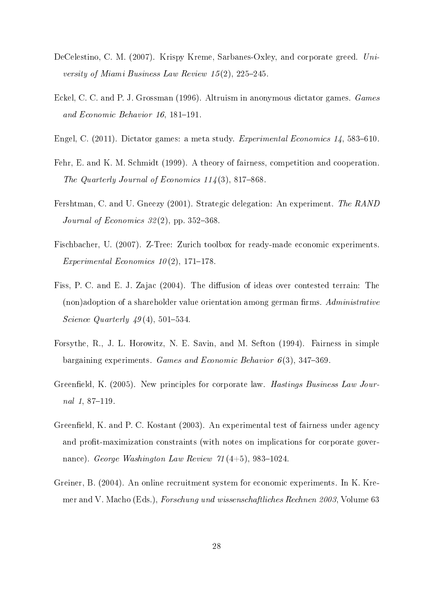- DeCelestino, C. M. (2007). Krispy Kreme, Sarbanes-Oxley, and corporate greed. University of Miami Business Law Review  $15(2)$ ,  $225-245$ .
- Eckel, C. C. and P. J. Grossman (1996). Altruism in anonymous dictator games. Games and Economic Behavior  $16$ ,  $181-191$ .
- Engel, C. (2011). Dictator games: a meta study. Experimental Economics 14, 583-610.
- Fehr, E. and K. M. Schmidt (1999). A theory of fairness, competition and cooperation. The Quarterly Journal of Economics  $114(3)$ , 817-868.
- Fershtman, C. and U. Gneezy (2001). Strategic delegation: An experiment. The RAND Journal of Economics  $32(2)$ , pp. 352-368.
- Fischbacher, U. (2007). Z-Tree: Zurich toolbox for ready-made economic experiments. Experimental Economics  $10(2)$ , 171–178.
- Fiss, P. C. and E. J. Zajac (2004). The diffusion of ideas over contested terrain: The (non)adoption of a shareholder value orientation among german firms. Administrative Science Quarterly  $49(4)$ , 501-534.
- Forsythe, R., J. L. Horowitz, N. E. Savin, and M. Sefton (1994). Fairness in simple bargaining experiments. Games and Economic Behavior  $6(3)$ , 347-369.
- Greenfield, K. (2005). New principles for corporate law. *Hastings Business Law Jour*nal  $1, 87-119$ .
- Greenfield, K. and P. C. Kostant (2003). An experimental test of fairness under agency and profit-maximization constraints (with notes on implications for corporate governance). George Washington Law Review  $71(4+5)$ , 983-1024.
- Greiner, B. (2004). An online recruitment system for economic experiments. In K. Kremer and V. Macho (Eds.), Forschung und wissenschaftliches Rechnen 2003, Volume 63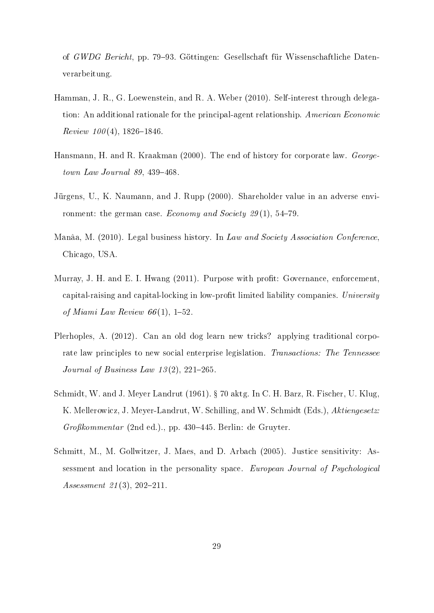of GWDG Bericht, pp. 79–93. Göttingen: Gesellschaft für Wissenschaftliche Datenverarbeitung.

- Hamman, J. R., G. Loewenstein, and R. A. Weber (2010). Self-interest through delegation: An additional rationale for the principal-agent relationship. American Economic  $Review~100(4),~1826-1846.$
- Hansmann, H. and R. Kraakman (2000). The end of history for corporate law. George $town Law Journal$  89, 439-468.
- Jürgens, U., K. Naumann, and J. Rupp (2000). Shareholder value in an adverse environment: the german case. Economy and Society  $29(1)$ , 54-79.
- Manâa, M. (2010). Legal business history. In Law and Society Association Conference, Chicago, USA.
- Murray, J. H. and E. I. Hwang (2011). Purpose with profit: Governance, enforcement, capital-raising and capital-locking in low-profit limited liability companies. University of Miami Law Review  $66(1)$ , 1-52.
- Plerhoples, A. (2012). Can an old dog learn new tricks? applying traditional corporate law principles to new social enterprise legislation. Transactions: The Tennessee Journal of Business Law  $13(2)$ ,  $221-265$ .
- Schmidt, W. and J. Meyer Landrut (1961). § 70 aktg. In C. H. Barz, R. Fischer, U. Klug, K. Mellerowicz, J. Meyer-Landrut, W. Schilling, and W. Schmidt (Eds.), Aktiengesetz:  $Großkommentar$  (2nd ed.)., pp. 430–445. Berlin: de Gruyter.
- Schmitt, M., M. Gollwitzer, J. Maes, and D. Arbach (2005). Justice sensitivity: Assessment and location in the personality space. European Journal of Psychological Assessment  $21(3)$ ,  $202-211$ .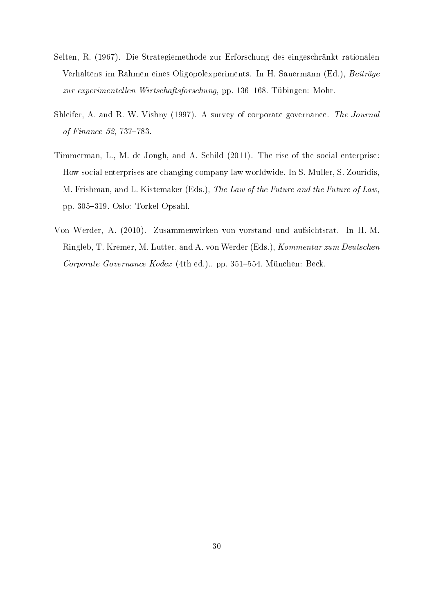- Selten, R. (1967). Die Strategiemethode zur Erforschung des eingeschränkt rationalen Verhaltens im Rahmen eines Oligopolexperiments. In H. Sauermann (Ed.), Beiträge zur experimentellen Wirtschaftsforschung, pp. 136-168. Tübingen: Mohr.
- Shleifer, A. and R. W. Vishny (1997). A survey of corporate governance. The Journal of Finance 52, 737-783.
- Timmerman, L., M. de Jongh, and A. Schild (2011). The rise of the social enterprise: How social enterprises are changing company law worldwide. In S. Muller, S. Zouridis, M. Frishman, and L. Kistemaker (Eds.), The Law of the Future and the Future of Law, pp. 305–319. Oslo: Torkel Opsahl.
- Von Werder, A. (2010). Zusammenwirken von vorstand und aufsichtsrat. In H.-M. Ringleb, T. Kremer, M. Lutter, and A. von Werder (Eds.), Kommentar zum Deutschen Corporate Governance Kodex (4th ed.)., pp. 351-554. München: Beck.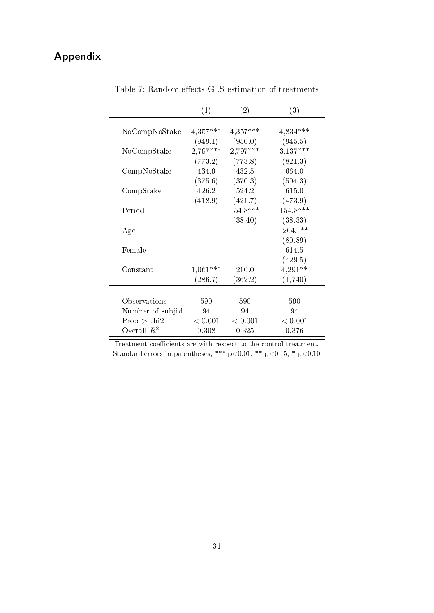# Appendix

|                  | (1)        | $\left( 2\right)$ | (3)        |
|------------------|------------|-------------------|------------|
| NoCompNoStake    | $4,357***$ | $4,357***$        | 4,834***   |
|                  | (949.1)    | (950.0)           | (945.5)    |
| NoCompStake      | 2,797***   | $2,797***$        | 3,137***   |
|                  | (773.2)    | (773.8)           | (821.3)    |
| CompNoStake      | 434.9      | 432.5             | 664.0      |
|                  | (375.6)    | (370.3)           | (504.3)    |
| CompStake        | 426.2      | 524.2             | 615.0      |
|                  | (418.9)    | (421.7)           | (473.9)    |
| Period           |            | $154.8***$        | $154.8***$ |
|                  |            | (38.40)           | (38.33)    |
| Age              |            |                   | $-204.1**$ |
|                  |            |                   | (80.89)    |
| Female           |            |                   | 614.5      |
|                  |            |                   | (429.5)    |
| Constant         | $1,061***$ | 210.0             | $4,291**$  |
|                  | (286.7)    | (362.2)           | (1,740)    |
|                  |            |                   |            |
| Observations     | 590        | 590               | 590        |
| Number of subjid | 94         | 94                | 94         |
| Prob > chi2      | < 0.001    | < 0.001           | < 0.001    |
| Overall $R^2$    | 0.308      | 0.325             | 0.376      |

Table 7: Random effects  ${\rm GLS}$  estimation of treatments

| Treatment coefficients are with respect to the control treatment.       |  |  |  |  |
|-------------------------------------------------------------------------|--|--|--|--|
| Standard errors in parentheses; *** $p<0.01$ , ** $p<0.05$ , * $p<0.10$ |  |  |  |  |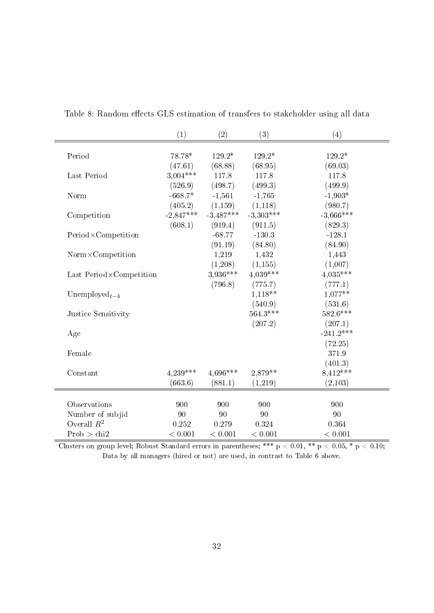|                         | (1)         | (2)         | (3)         | (4)         |
|-------------------------|-------------|-------------|-------------|-------------|
|                         |             |             |             |             |
| Period                  | 78.78*      | $129.2*$    | 129.2*      | 129.2*      |
|                         | (47.61)     | (68.88)     | (68.95)     | (69.03)     |
| Last Period             | $3,004***$  | 117.8       | 117.8       | 117.8       |
|                         | (526.9)     | (498.7)     | (499.3)     | (499.9)     |
| Norm                    | $-668.7*$   | $-1,561$    | $-1,765$    | $-1,903*$   |
|                         | (405.2)     | (1,159)     | (1,118)     | (980.7)     |
| Competition             | $-2,847***$ | $-3,487***$ | $-3,303***$ | $-3,666***$ |
|                         | (608.1)     | (919.4)     | (911.5)     | (829.3)     |
| Period×Competition      |             | $-68.77$    | $-130.3$    | $-128.1$    |
|                         |             | (91.19)     | (84.80)     | (84.90)     |
| Norm×Competition        |             | 1,219       | 1,432       | 1,443       |
|                         |             | (1,208)     | (1, 155)    | (1,007)     |
| Last Period×Competition |             | 3,936***    | $4,039***$  | $4,035***$  |
|                         |             | (796.8)     | (775.7)     | (777.1)     |
| Unemployed $_{t-4}$     |             |             | 1,118**     | $1,077**$   |
|                         |             |             | (540.9)     | (531.6)     |
| Justice Sensitivity     |             |             | $564.3***$  | $582.6***$  |
|                         |             |             | (207.2)     | (207.1)     |
| Age                     |             |             |             | $-241.2***$ |
|                         |             |             |             | (72.25)     |
| Female                  |             |             |             | 371.9       |
|                         |             |             |             | (401.3)     |
| Constant                | $4,239***$  | 4,696***    | 2,879**     | 8,412***    |
|                         | (663.6)     | (881.1)     | (1,219)     | (2,103)     |
|                         |             |             |             |             |
| Observations            | 900         | 900         | 900         | 900         |
| Number of subjid        | 90          | 90          | 90          | 90          |
| Overall $R^2$           | 0.252       | 0.279       | 0.324       | 0.364       |
| Prob > chi2             | < 0.001     | < 0.001     | < 0.001     | < 0.001     |

Table 8: Random effects GLS estimation of transfers to stakeholder using all data

Clusters on group level; Robust Standard errors in parentheses; \*\*\* p  $< 0.01$ , \*\* p  $< 0.05$ , \* p  $< 0.10$ ; Data by all managers (hired or not) are used, in contrast to Table 6 above.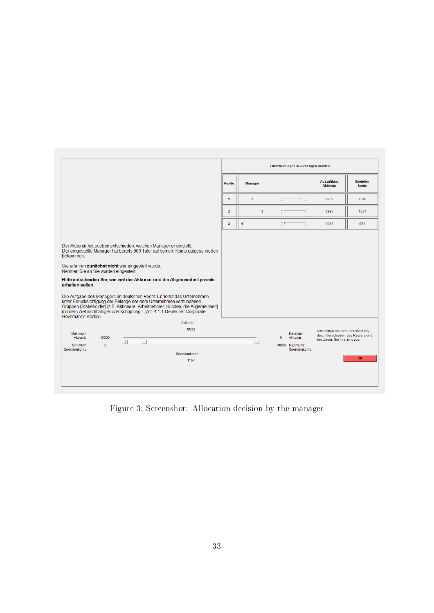|                                                                                             |                   |                                                    |                                                                                                                                                                                                                                                                                                                                                                                                                                                                                |                |                         | Entscheidungen in vorherigen Runden                                         |                                                                                                          |                   |
|---------------------------------------------------------------------------------------------|-------------------|----------------------------------------------------|--------------------------------------------------------------------------------------------------------------------------------------------------------------------------------------------------------------------------------------------------------------------------------------------------------------------------------------------------------------------------------------------------------------------------------------------------------------------------------|----------------|-------------------------|-----------------------------------------------------------------------------|----------------------------------------------------------------------------------------------------------|-------------------|
|                                                                                             |                   |                                                    |                                                                                                                                                                                                                                                                                                                                                                                                                                                                                | Runde          | <b>Manager</b>          |                                                                             | <b>Auszahlung</b><br><b>Aktionär</b>                                                                     | Spenden-<br>konto |
|                                                                                             |                   |                                                    |                                                                                                                                                                                                                                                                                                                                                                                                                                                                                | $\mathbf{1}$   | $\overline{2}$          | 一                                                                           | 2952                                                                                                     | 7048              |
|                                                                                             |                   |                                                    |                                                                                                                                                                                                                                                                                                                                                                                                                                                                                | $\overline{2}$ | $\overline{\mathbf{3}}$ | ŢΣ                                                                          | 8993                                                                                                     | 1007              |
|                                                                                             |                   |                                                    |                                                                                                                                                                                                                                                                                                                                                                                                                                                                                | 3              | 1                       | ŢΓ                                                                          | 9016                                                                                                     | 984               |
| bekommen.<br>Nehmen Sie an Sie wurden eingestellt:<br>erhalten sollen.<br>Governance Kodex) |                   | Sie erfahren zunächst nicht wer eingestellt wurde. | Der eingestellte Manager hat bereits 900 Taler auf seinem Konto gutgeschrieben<br>Bitte entscheiden Sie, wie viel der Aktionär und die Allgemeinheit jeweils<br>Die Aufgabe des Managers im deutschen Recht: Er "leitet das Unternehmen<br>unter Berücksichtigung der Belange der dem Unternehmen verbundenen<br>Gruppen (Stakeholder) [z.B. Aktionäre, Arbeitnehmer, Kunden, die Allgemeinheit]<br>mit dem Ziel nachhaltiger Wertschöpfung." (Ziff. 4.1.1 Deutscher Corporate |                |                         |                                                                             |                                                                                                          |                   |
| Maximum<br>Aktionär<br><b>Minimum</b><br>Spendenkonto                                       | 10000<br>$\Omega$ | $\vert \cdot \vert$<br>$\Box$                      | Aktionär<br>8833<br>Spendenkonto:<br>1167                                                                                                                                                                                                                                                                                                                                                                                                                                      |                | $\overline{ }$          | <b>Minimum</b><br>$\mathbf{0}$<br>Aktionär<br>10000 Maximum<br>Spendenkonto | Bitte treffen Sie Ihre Entscheidung<br>durch Verschieben des Reglers und<br>bestätigen Sie Ihre Eingabe. | OK                |

Figure 3: Screenshot: Allocation decision by the manager